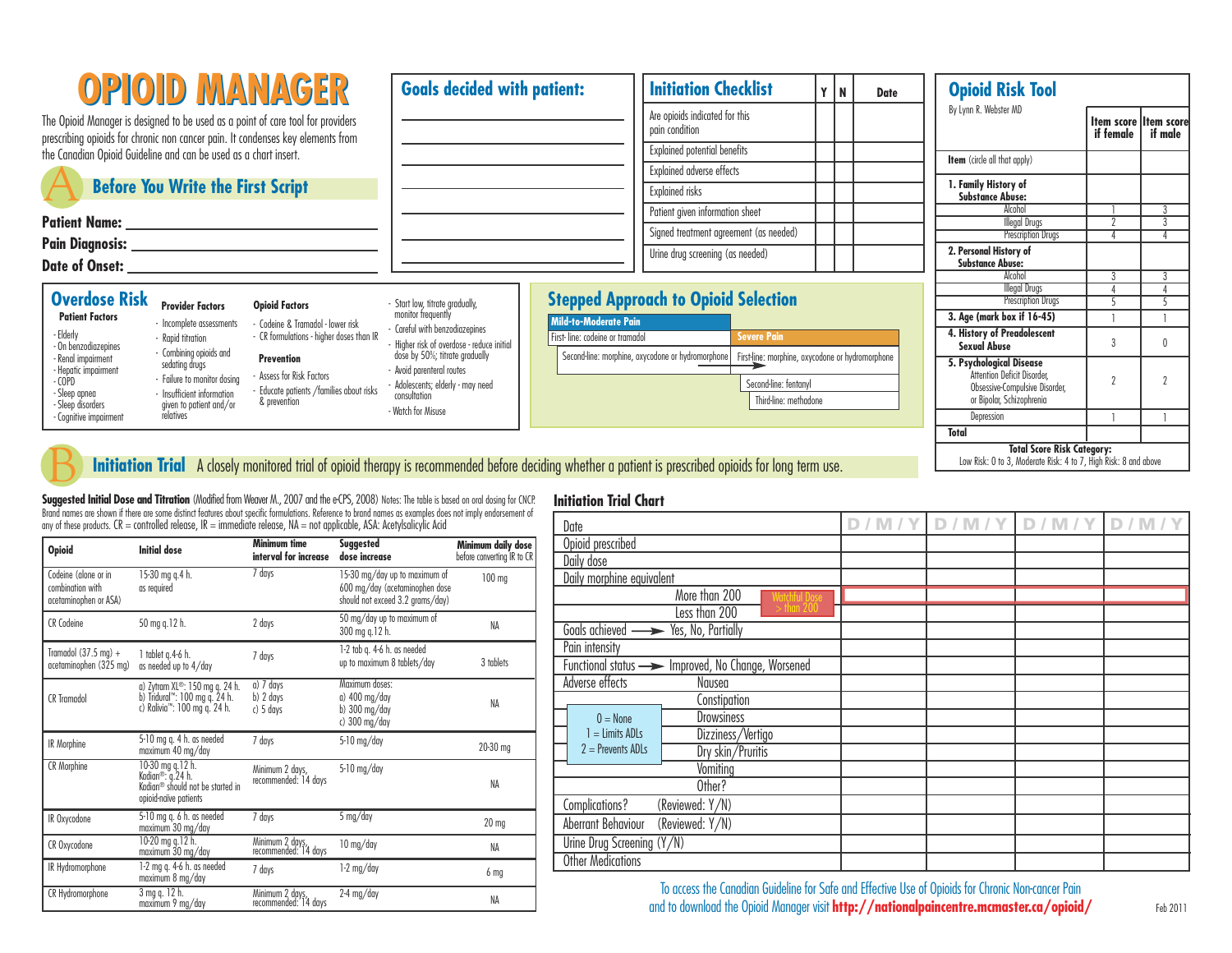| <b>OPIOID MANAGER</b><br>The Opioid Manager is designed to be used as a point of care tool for providers                                                                                       |                                                                                                                                                                                                                                                                                                                                                                                                                                                                                   | <b>Goals decided with patient:</b> |                                                                                                              | <b>Initiation Checklist</b>                              |                                                                                                                                                         | l N | <b>Date</b> | <b>Opioid Risk Tool</b> |                                                                                                                        |         |               |
|------------------------------------------------------------------------------------------------------------------------------------------------------------------------------------------------|-----------------------------------------------------------------------------------------------------------------------------------------------------------------------------------------------------------------------------------------------------------------------------------------------------------------------------------------------------------------------------------------------------------------------------------------------------------------------------------|------------------------------------|--------------------------------------------------------------------------------------------------------------|----------------------------------------------------------|---------------------------------------------------------------------------------------------------------------------------------------------------------|-----|-------------|-------------------------|------------------------------------------------------------------------------------------------------------------------|---------|---------------|
|                                                                                                                                                                                                |                                                                                                                                                                                                                                                                                                                                                                                                                                                                                   |                                    |                                                                                                              | Are opioids indicated for this<br>pain condition         |                                                                                                                                                         |     |             | By Lynn R. Webster MD   | <b>Item score litem score</b><br>if female                                                                             | if male |               |
|                                                                                                                                                                                                | prescribing opioids for chronic non cancer pain. It condenses key elements from<br>the Canadian Opioid Guideline and can be used as a chart insert.                                                                                                                                                                                                                                                                                                                               |                                    |                                                                                                              |                                                          | <b>Explained potential benefits</b>                                                                                                                     |     |             |                         |                                                                                                                        |         |               |
|                                                                                                                                                                                                |                                                                                                                                                                                                                                                                                                                                                                                                                                                                                   |                                    |                                                                                                              |                                                          | Explained adverse effects                                                                                                                               |     |             |                         | Item (circle all that apply)                                                                                           |         |               |
|                                                                                                                                                                                                | <b>Before You Write the First Script</b>                                                                                                                                                                                                                                                                                                                                                                                                                                          |                                    |                                                                                                              |                                                          |                                                                                                                                                         |     |             |                         | 1. Family History of<br><b>Substance Abuse:</b>                                                                        |         |               |
|                                                                                                                                                                                                |                                                                                                                                                                                                                                                                                                                                                                                                                                                                                   |                                    |                                                                                                              |                                                          | Patient given information sheet                                                                                                                         |     |             |                         | Alcohol                                                                                                                |         |               |
| Patient Name: ___________________<br>Pain Diagnosis: _____________________<br>Date of Onset: University of Onset and Date of Onset and Date of Onset and Date of Onset and Date of Onset and D |                                                                                                                                                                                                                                                                                                                                                                                                                                                                                   |                                    |                                                                                                              |                                                          | Signed treatment agreement (as needed)                                                                                                                  |     |             |                         | <b>Illegal Drugs</b><br><b>Prescription Drugs</b>                                                                      |         | $\mathcal{S}$ |
|                                                                                                                                                                                                |                                                                                                                                                                                                                                                                                                                                                                                                                                                                                   |                                    |                                                                                                              |                                                          | Urine drug screening (as needed)                                                                                                                        |     |             |                         | 2. Personal History of<br><b>Substance Abuse:</b>                                                                      |         |               |
|                                                                                                                                                                                                |                                                                                                                                                                                                                                                                                                                                                                                                                                                                                   |                                    |                                                                                                              |                                                          |                                                                                                                                                         |     |             |                         | Alcohol                                                                                                                |         |               |
| <b>Overdose Risk</b>                                                                                                                                                                           |                                                                                                                                                                                                                                                                                                                                                                                                                                                                                   |                                    |                                                                                                              |                                                          | <b>Stepped Approach to Opioid Selection</b>                                                                                                             |     |             |                         | <b>Illegal Drugs</b><br><b>Prescription Drugs</b>                                                                      |         |               |
|                                                                                                                                                                                                | <b>Opioid Factors</b><br><b>Provider Factors</b><br><b>Patient Factors</b><br>- Incomplete assessments<br>- Codeine & Tramadol - lower risk<br>- CR formulations - higher doses than IR<br>- Rapid titration<br>- Combining opioids and<br>Renal impairment<br><b>Prevention</b><br>sedating drugs<br>Assess for Risk Factors<br>- Failure to monitor dosina<br>· Educate patients /families about risks<br>- Insufficient information<br>& prevention<br>given to patient and/or |                                    | - Start low, titrate gradually,<br>monitor frequently                                                        |                                                          |                                                                                                                                                         |     |             |                         |                                                                                                                        |         |               |
| - Elderly<br>- On benzodiazepines                                                                                                                                                              |                                                                                                                                                                                                                                                                                                                                                                                                                                                                                   |                                    | - Careful with benzodiazepines<br>Higher risk of overdose - reduce initial<br>dose by 50%; titrate gradually | Mild-to-Moderate Pain<br>First-line: codeine or tramadol | <b>Severe Pain</b>                                                                                                                                      |     |             |                         | 3. Age (mark box if 16-45)<br>4. History of Preadolescent<br>Sexual Abuse                                              |         |               |
| - Hepatic impairment<br>- COPD<br>Sleep apnea<br>· Sleep disorders                                                                                                                             |                                                                                                                                                                                                                                                                                                                                                                                                                                                                                   |                                    | Avoid parenteral routes<br>Adolescents; elderly - may need<br>consultation                                   |                                                          | Second-line: morphine, oxycodone or hydromorphone<br>First-line: morphine, oxycodone or hydromorphone<br>Second-line: fentanvl<br>Third-line: methodone |     |             |                         | 5. Psychological Disease<br>Attention Deficit Disorder.<br>Obsessive-Compulsive Disorder,<br>or Bipolar, Schizophrenia |         |               |
| - Coanitive impairment                                                                                                                                                                         | relatives                                                                                                                                                                                                                                                                                                                                                                                                                                                                         |                                    | - Watch for Misuse                                                                                           |                                                          |                                                                                                                                                         |     |             |                         | Depression                                                                                                             |         |               |
|                                                                                                                                                                                                |                                                                                                                                                                                                                                                                                                                                                                                                                                                                                   |                                    |                                                                                                              |                                                          |                                                                                                                                                         |     |             |                         | Total                                                                                                                  |         |               |

**Initiation Trial Chart**

Suggested Initial Dose and Titration (Modified from Weaver M., 2007 and the eCPS, 2008) Notes: The table is based on oral distration of our prodiction Weaver M., 2007 and the eCPS, 2008) Notes: The table is based on oral d

| <b>Opioid</b>                                                     | <b>Initial dose</b>                                                                                                                                                                                                                | <b>Minimum time</b><br>interval for increase | <b>Suggested</b><br>dose increase                                                                   | Minimum daily dose<br>before converting IR to CR |
|-------------------------------------------------------------------|------------------------------------------------------------------------------------------------------------------------------------------------------------------------------------------------------------------------------------|----------------------------------------------|-----------------------------------------------------------------------------------------------------|--------------------------------------------------|
| Codeine (alone or in<br>combination with<br>acetaminophen or ASA) | 15-30 mg q.4 h.<br>as required                                                                                                                                                                                                     | 7 days                                       | 15-30 mg/day up to maximum of<br>600 mg/day (acetaminophen dose<br>should not exceed 3.2 grams/day) | $100$ mg                                         |
| <b>CR Codeine</b>                                                 | 50 mg q.12 h.                                                                                                                                                                                                                      | 2 days                                       | 50 mg/day up to maximum of<br>300 mg g.12 h.                                                        | NA                                               |
| Tramadol $(37.5 \text{ mg}) +$<br>acetaminophen (325 mg)          | 1 tablet g.4-6 h.<br>as needed up to 4/day                                                                                                                                                                                         | 7 days                                       | 1-2 tab g. 4-6 h. as needed<br>up to maximum 8 tablets/day                                          | 3 tablets                                        |
| <b>CR</b> Tramadol                                                | Maximum doses:<br>a) 7 days<br>a) Zytram XL®: 150 mg q. 24 h.<br>b) Tridural™: 100 mg q. 24 h.<br>a) 400 mg/day<br>b) 2 days<br>c) Ralivia <sup>™</sup> : 100 mg q. 24 h.<br>b) $300 \text{ mg/day}$<br>c) 5 days<br>c) 300 mg/day |                                              | NA                                                                                                  |                                                  |
| IR Morphine                                                       | 5-10 mg q. 4 h. as needed<br>maximum 40 mg/day                                                                                                                                                                                     | 7 days                                       | $5-10$ mg/day                                                                                       | 20-30 mg                                         |
| <b>CR Morphine</b>                                                | 10-30 mg q.12 h.<br>Kadian®: g.24 h.<br>Kadian <sup>®</sup> should not be started in<br>opioid-naïve patients                                                                                                                      | Minimum 2 days,<br>recommended: 14 days      | $5-10$ mg/day                                                                                       | NA                                               |
| IR Oxycodone                                                      | 5-10 mg q. 6 h. as needed<br>maximum 30 mg/day                                                                                                                                                                                     | 7 days                                       | 5 mg/day                                                                                            | $20 \text{ mg}$                                  |
| CR Oxycodone                                                      | 10-20 mg g.12 h.<br>maximum 30 mg/day                                                                                                                                                                                              | Minimum 2 days,<br>recommended: 14 days      | 10 mg/day                                                                                           | NA                                               |
| IR Hydromorphone                                                  | 1-2 mg g. 4-6 h. as needed<br>maximum 8 mg/day                                                                                                                                                                                     | 7 days                                       | $1-2$ mg/day                                                                                        | 6 <sub>mg</sub>                                  |
| CR Hydromorphone                                                  | 3 mg q. 12 h.<br>maximum 9 mg/day                                                                                                                                                                                                  | Minimum 2 days,<br>recommended: 14 days      | 2-4 mg/day                                                                                          | NA                                               |

| Date                     |                            |                                                                                             | D/M/Y | D/M/Y | D/M/Y | D/M/ |
|--------------------------|----------------------------|---------------------------------------------------------------------------------------------|-------|-------|-------|------|
| Opioid prescribed        |                            |                                                                                             |       |       |       |      |
| Daily dose               |                            |                                                                                             |       |       |       |      |
|                          | Daily morphine equivalent  |                                                                                             |       |       |       |      |
|                          |                            | More than 200<br>$\begin{array}{rcl} \text{Watchful Dose} \\ > \text{than 200} \end{array}$ |       |       |       |      |
|                          |                            | Less than 200                                                                               |       |       |       |      |
|                          |                            | Goals achieved - Yes, No, Partially                                                         |       |       |       |      |
| Pain intensity           |                            |                                                                                             |       |       |       |      |
|                          |                            | Functional status - Improved, No Change, Worsened                                           |       |       |       |      |
| Adverse effects          |                            | Nausea                                                                                      |       |       |       |      |
|                          |                            | Constipation                                                                                |       |       |       |      |
|                          | $0 = \text{None}$          | <b>Drowsiness</b>                                                                           |       |       |       |      |
|                          | $l =$ Limits ADLs          | Dizziness/Vertigo                                                                           |       |       |       |      |
|                          | $2 =$ Prevents ADLs        | Dry skin/Pruritis                                                                           |       |       |       |      |
|                          |                            | Vomiting                                                                                    |       |       |       |      |
|                          |                            | Other?                                                                                      |       |       |       |      |
| Complications?           |                            | (Reviewed: Y/N)                                                                             |       |       |       |      |
| Aberrant Behaviour       |                            | (Reviewed: Y/N)                                                                             |       |       |       |      |
|                          | Urine Drug Screening (Y/N) |                                                                                             |       |       |       |      |
| <b>Other Medications</b> |                            |                                                                                             |       |       |       |      |

To access the Canadian Guideline for Safe and Effective Use of Opioids for Chronic Non-cancer Pain and to download the Opioid Manager visit **http://nationalpaincentre.mcmaster.ca/opioid/**